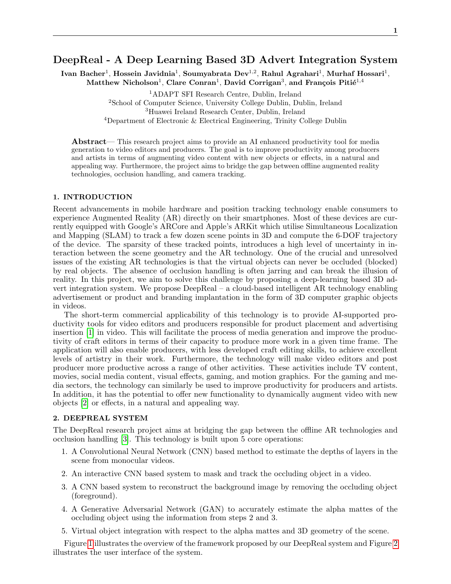# DeepReal - A Deep Learning Based 3D Advert Integration System

Ivan Bacher<sup>1</sup>, Hossein Javidnia<sup>1</sup>, Soumyabrata Dev<sup>1,2</sup>, Rahul Agrahari<sup>1</sup>, Murhaf Hossari<sup>1</sup>,  $\mathrm{Matchsson}^{1}, \mathrm{Clare}$   $\mathrm{Conran}^{1}, \mathrm{David}$   $\mathrm{Corrigan}^{3}, \mathrm{and}$   $\mathrm{Franciois}$   $\mathrm{Piti\'e}^{1,4}$ 

<sup>1</sup>ADAPT SFI Research Centre, Dublin, Ireland

<sup>2</sup>School of Computer Science, University College Dublin, Dublin, Ireland

<sup>3</sup>Huawei Ireland Research Center, Dublin, Ireland

<sup>4</sup>Department of Electronic & Electrical Engineering, Trinity College Dublin

Abstract— This research project aims to provide an AI enhanced productivity tool for media generation to video editors and producers. The goal is to improve productivity among producers and artists in terms of augmenting video content with new objects or effects, in a natural and appealing way. Furthermore, the project aims to bridge the gap between offline augmented reality technologies, occlusion handling, and camera tracking.

#### 1. INTRODUCTION

Recent advancements in mobile hardware and position tracking technology enable consumers to experience Augmented Reality (AR) directly on their smartphones. Most of these devices are currently equipped with Google's ARCore and Apple's ARKit which utilise Simultaneous Localization and Mapping (SLAM) to track a few dozen scene points in 3D and compute the 6-DOF trajectory of the device. The sparsity of these tracked points, introduces a high level of uncertainty in interaction between the scene geometry and the AR technology. One of the crucial and unresolved issues of the existing AR technologies is that the virtual objects can never be occluded (blocked) by real objects. The absence of occlusion handling is often jarring and can break the illusion of reality. In this project, we aim to solve this challenge by proposing a deep-learning based 3D advert integration system. We propose DeepReal – a cloud-based intelligent AR technology enabling advertisement or product and branding implantation in the form of 3D computer graphic objects in videos.

The short-term commercial applicability of this technology is to provide AI-supported productivity tools for video editors and producers responsible for product placement and advertising insertion [\[1\]](#page-1-0) in video. This will facilitate the process of media generation and improve the productivity of craft editors in terms of their capacity to produce more work in a given time frame. The application will also enable producers, with less developed craft editing skills, to achieve excellent levels of artistry in their work. Furthermore, the technology will make video editors and post producer more productive across a range of other activities. These activities include TV content, movies, social media content, visual effects, gaming, and motion graphics. For the gaming and media sectors, the technology can similarly be used to improve productivity for producers and artists. In addition, it has the potential to offer new functionality to dynamically augment video with new objects [\[2\]](#page-1-1) or effects, in a natural and appealing way.

### 2. DEEPREAL SYSTEM

The DeepReal research project aims at bridging the gap between the offline AR technologies and occlusion handling [\[3\]](#page-1-2). This technology is built upon 5 core operations:

- 1. A Convolutional Neural Network (CNN) based method to estimate the depths of layers in the scene from monocular videos.
- 2. An interactive CNN based system to mask and track the occluding object in a video.
- 3. A CNN based system to reconstruct the background image by removing the occluding object (foreground).
- 4. A Generative Adversarial Network (GAN) to accurately estimate the alpha mattes of the occluding object using the information from steps 2 and 3.
- 5. Virtual object integration with respect to the alpha mattes and 3D geometry of the scene.

Figure [1](#page-1-3) illustrates the overview of the framework proposed by our DeepReal system and Figure [2](#page-1-4) illustrates the user interface of the system.